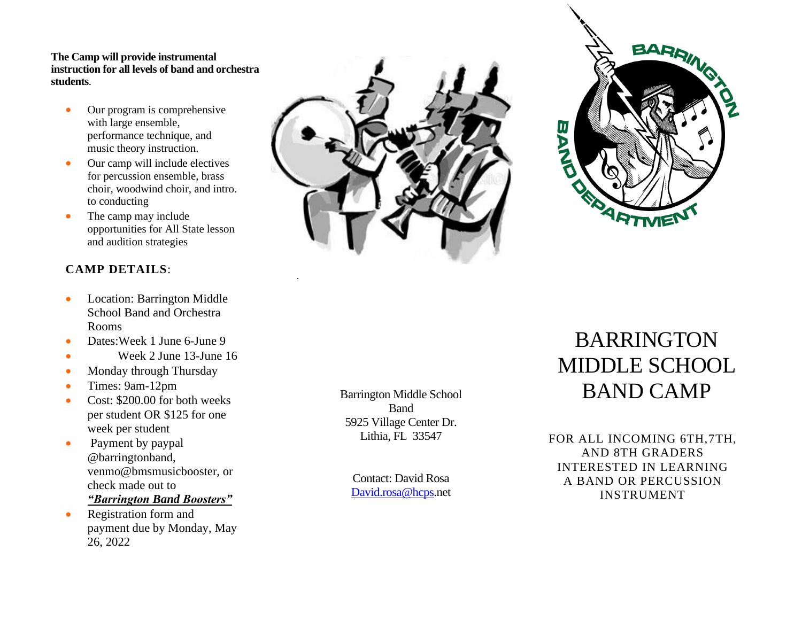## **The Camp will provide instrumental instruction for all levels of band and orchestra students**.

- Our program is comprehensive with large ensemble, performance technique, and music theory instruction.
- Our camp will include electives for percussion ensemble, brass choir, woodwind choir, and intro. to conducting
- The camp may include opportunities for All State lesson and audition strategies

## **CAMP DETAILS**:

- Location: Barrington Middle School Band and Orchestra Rooms
- Dates:Week 1 June 6-June 9
- Week 2 June 13-June 16
- Monday through Thursday
- Times: 9am-12pm
- Cost: \$200.00 for both weeks per student OR \$125 for one week per student
- Payment by paypal @barringtonband, venmo@bmsmusicbooster, or check made out to
	- *"Barrington Band Boosters"*
- Registration form and payment due by Monday, May 26, 2022





## BARRINGTON MIDDLE SCHOOL BAND CAMP

FOR ALL INCOMING 6TH,7TH, AND 8TH GRADERS INTERESTED IN LEARNING A BAND OR PERCUSSION INSTRUMENT

Barrington Middle School Band 5925 Village Center Dr. Lithia, FL 33547

Contact: David Rosa [David.rosa@hcps.](mailto:David.rosa@hcps)net